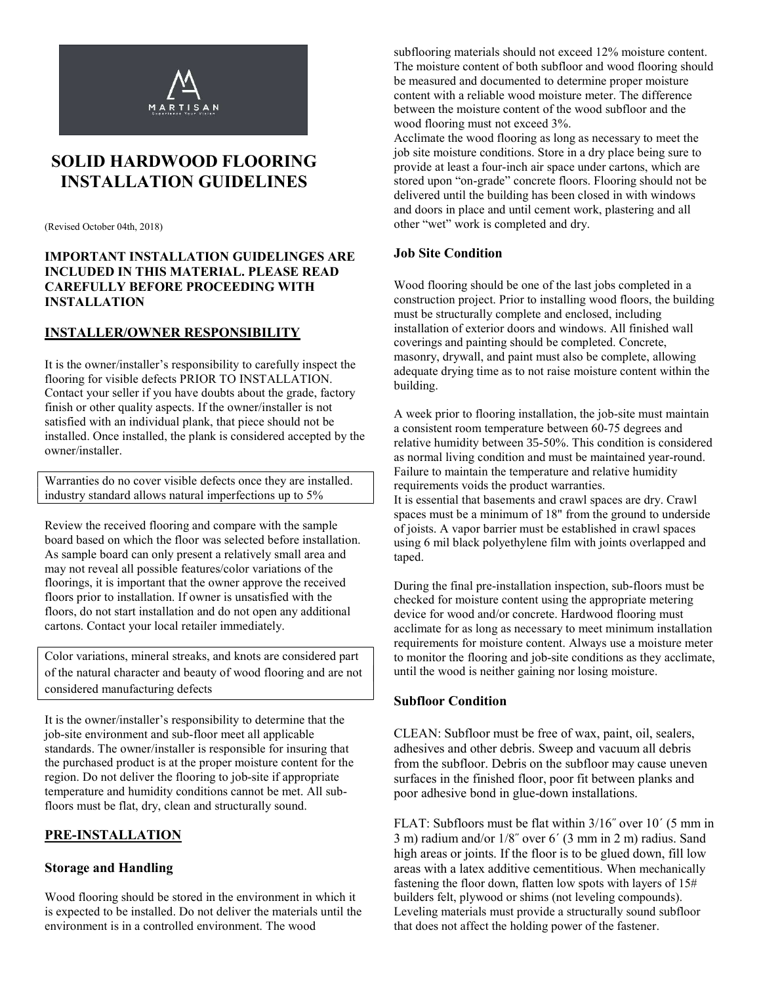

# SOLID HARDWOOD FLOORING INSTALLATION GUIDELINES

(Revised October 04th, 2018)

#### IMPORTANT INSTALLATION GUIDELINGES ARE INCLUDED IN THIS MATERIAL. PLEASE READ CAREFULLY BEFORE PROCEEDING WITH INSTALLATION

### INSTALLER/OWNER RESPONSIBILITY

It is the owner/installer's responsibility to carefully inspect the flooring for visible defects PRIOR TO INSTALLATION. Contact your seller if you have doubts about the grade, factory finish or other quality aspects. If the owner/installer is not satisfied with an individual plank, that piece should not be installed. Once installed, the plank is considered accepted by the owner/installer.

Warranties do no cover visible defects once they are installed. industry standard allows natural imperfections up to 5%

Review the received flooring and compare with the sample board based on which the floor was selected before installation. As sample board can only present a relatively small area and may not reveal all possible features/color variations of the floorings, it is important that the owner approve the received floors prior to installation. If owner is unsatisfied with the floors, do not start installation and do not open any additional cartons. Contact your local retailer immediately.

Color variations, mineral streaks, and knots are considered part of the natural character and beauty of wood flooring and are not considered manufacturing defects

It is the owner/installer's responsibility to determine that the job-site environment and sub-floor meet all applicable standards. The owner/installer is responsible for insuring that the purchased product is at the proper moisture content for the region. Do not deliver the flooring to job-site if appropriate temperature and humidity conditions cannot be met. All subfloors must be flat, dry, clean and structurally sound.

## PRE-INSTALLATION

#### Storage and Handling

Wood flooring should be stored in the environment in which it is expected to be installed. Do not deliver the materials until the environment is in a controlled environment. The wood

subflooring materials should not exceed 12% moisture content. The moisture content of both subfloor and wood flooring should be measured and documented to determine proper moisture content with a reliable wood moisture meter. The difference between the moisture content of the wood subfloor and the wood flooring must not exceed 3%.

Acclimate the wood flooring as long as necessary to meet the job site moisture conditions. Store in a dry place being sure to provide at least a four-inch air space under cartons, which are stored upon "on-grade" concrete floors. Flooring should not be delivered until the building has been closed in with windows and doors in place and until cement work, plastering and all other "wet" work is completed and dry.

## Job Site Condition

Wood flooring should be one of the last jobs completed in a construction project. Prior to installing wood floors, the building must be structurally complete and enclosed, including installation of exterior doors and windows. All finished wall coverings and painting should be completed. Concrete, masonry, drywall, and paint must also be complete, allowing adequate drying time as to not raise moisture content within the building.

A week prior to flooring installation, the job-site must maintain a consistent room temperature between 60-75 degrees and relative humidity between 35-50%. This condition is considered as normal living condition and must be maintained year-round. Failure to maintain the temperature and relative humidity requirements voids the product warranties. It is essential that basements and crawl spaces are dry. Crawl spaces must be a minimum of 18" from the ground to underside of joists. A vapor barrier must be established in crawl spaces using 6 mil black polyethylene film with joints overlapped and taped.

During the final pre-installation inspection, sub-floors must be checked for moisture content using the appropriate metering device for wood and/or concrete. Hardwood flooring must acclimate for as long as necessary to meet minimum installation requirements for moisture content. Always use a moisture meter to monitor the flooring and job-site conditions as they acclimate, until the wood is neither gaining nor losing moisture.

#### Subfloor Condition

CLEAN: Subfloor must be free of wax, paint, oil, sealers, adhesives and other debris. Sweep and vacuum all debris from the subfloor. Debris on the subfloor may cause uneven surfaces in the finished floor, poor fit between planks and poor adhesive bond in glue-down installations.

FLAT: Subfloors must be flat within 3/16˝ over 10´ (5 mm in 3 m) radium and/or 1/8˝ over 6´ (3 mm in 2 m) radius. Sand high areas or joints. If the floor is to be glued down, fill low areas with a latex additive cementitious. When mechanically fastening the floor down, flatten low spots with layers of 15# builders felt, plywood or shims (not leveling compounds). Leveling materials must provide a structurally sound subfloor that does not affect the holding power of the fastener.